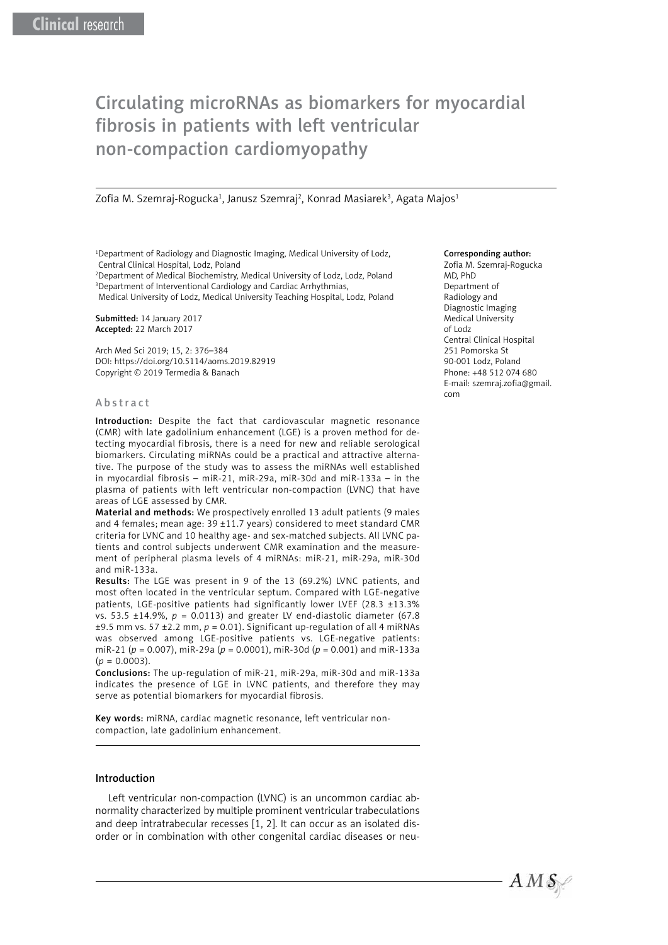# Circulating microRNAs as biomarkers for myocardial fibrosis in patients with left ventricular non-compaction cardiomyopathy

Zofia M. Szemraj-Rogucka<sup>1</sup>, Janusz Szemraj<sup>2</sup>, Konrad Masiarek<sup>3</sup>, Agata Majos<sup>1</sup>

<sup>1</sup>Department of Radiology and Diagnostic Imaging, Medical University of Lodz, Central Clinical Hospital, Lodz, Poland

2 Department of Medical Biochemistry, Medical University of Lodz, Lodz, Poland 3 Department of Interventional Cardiology and Cardiac Arrhythmias,

Medical University of Lodz, Medical University Teaching Hospital, Lodz, Poland

Submitted: 14 January 2017 Accepted: 22 March 2017

Arch Med Sci 2019; 15, 2: 376–384 DOI: https://doi.org/10.5114/aoms.2019.82919 Copyright © 2019 Termedia & Banach

#### Abstract

Introduction: Despite the fact that cardiovascular magnetic resonance (CMR) with late gadolinium enhancement (LGE) is a proven method for detecting myocardial fibrosis, there is a need for new and reliable serological biomarkers. Circulating miRNAs could be a practical and attractive alternative. The purpose of the study was to assess the miRNAs well established in myocardial fibrosis – miR-21, miR-29a, miR-30d and miR-133a – in the plasma of patients with left ventricular non-compaction (LVNC) that have areas of LGE assessed by CMR.

Material and methods: We prospectively enrolled 13 adult patients (9 males and 4 females; mean age: 39 ±11.7 years) considered to meet standard CMR criteria for LVNC and 10 healthy age- and sex-matched subjects. All LVNC patients and control subjects underwent CMR examination and the measurement of peripheral plasma levels of 4 miRNAs: miR-21, miR-29a, miR-30d and miR-133a.

Results: The LGE was present in 9 of the 13 (69.2%) LVNC patients, and most often located in the ventricular septum. Compared with LGE-negative patients, LGE-positive patients had significantly lower LVEF (28.3 ±13.3% vs. 53.5 ±14.9%, *p* = 0.0113) and greater LV end-diastolic diameter (67.8 ±9.5 mm vs. 57 ±2.2 mm, *p* = 0.01). Significant up-regulation of all 4 miRNAs was observed among LGE-positive patients vs. LGE-negative patients: miR-21 (*p* = 0.007), miR-29a (*p* = 0.0001), miR-30d (*p* = 0.001) and miR-133a  $(p = 0.0003)$ .

Conclusions: The up-regulation of miR-21, miR-29a, miR-30d and miR-133a indicates the presence of LGE in LVNC patients, and therefore they may serve as potential biomarkers for myocardial fibrosis.

Key words: miRNA, cardiac magnetic resonance, left ventricular noncompaction, late gadolinium enhancement.

## Introduction

Left ventricular non-compaction (LVNC) is an uncommon cardiac abnormality characterized by multiple prominent ventricular trabeculations and deep intratrabecular recesses [1, 2]. It can occur as an isolated disorder or in combination with other congenital cardiac diseases or neu-

## Corresponding author:

Zofia M. Szemraj-Rogucka MD, PhD Department of Radiology and Diagnostic Imaging Medical University of Lodz Central Clinical Hospital 251 Pomorska St 90-001 Lodz, Poland Phone: +48 512 074 680 E-mail: szemraj.zofia@gmail. com

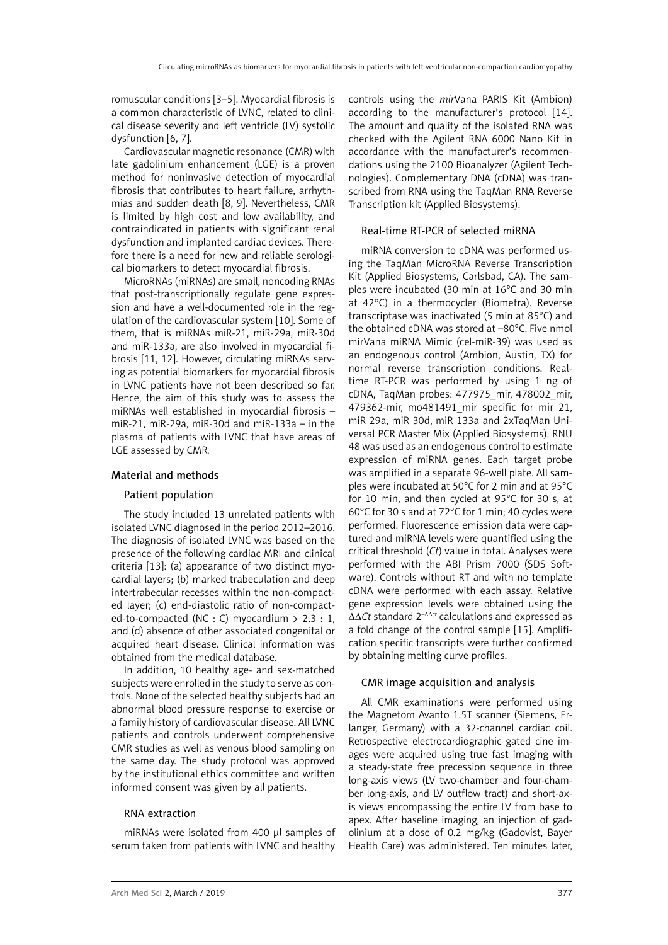romuscular conditions [3–5]. Myocardial fibrosis is a common characteristic of LVNC, related to clinical disease severity and left ventricle (LV) systolic dysfunction [6, 7].

Cardiovascular magnetic resonance (CMR) with late gadolinium enhancement (LGE) is a proven method for noninvasive detection of myocardial fibrosis that contributes to heart failure, arrhythmias and sudden death [8, 9]. Nevertheless, CMR is limited by high cost and low availability, and contraindicated in patients with significant renal dysfunction and implanted cardiac devices. Therefore there is a need for new and reliable serological biomarkers to detect myocardial fibrosis.

MicroRNAs (miRNAs) are small, noncoding RNAs that post-transcriptionally regulate gene expression and have a well-documented role in the regulation of the cardiovascular system [10]. Some of them, that is miRNAs miR-21, miR-29a, miR-30d and miR-133a, are also involved in myocardial fibrosis [11, 12]. However, circulating miRNAs serving as potential biomarkers for myocardial fibrosis in LVNC patients have not been described so far. Hence, the aim of this study was to assess the miRNAs well established in myocardial fibrosis – miR-21, miR-29a, miR-30d and miR-133a – in the plasma of patients with LVNC that have areas of LGE assessed by CMR.

# Material and methods

# Patient population

The study included 13 unrelated patients with isolated LVNC diagnosed in the period 2012–2016. The diagnosis of isolated LVNC was based on the presence of the following cardiac MRI and clinical criteria [13]: (a) appearance of two distinct myocardial layers; (b) marked trabeculation and deep intertrabecular recesses within the non-compacted layer; (c) end-diastolic ratio of non-compacted-to-compacted (NC : C) myocardium > 2.3 : 1, and (d) absence of other associated congenital or acquired heart disease. Clinical information was obtained from the medical database.

In addition, 10 healthy age- and sex-matched subjects were enrolled in the study to serve as controls. None of the selected healthy subjects had an abnormal blood pressure response to exercise or a family history of cardiovascular disease. All LVNC patients and controls underwent comprehensive CMR studies as well as venous blood sampling on the same day. The study protocol was approved by the institutional ethics committee and written informed consent was given by all patients.

# RNA extraction

miRNAs were isolated from 400 µl samples of serum taken from patients with LVNC and healthy controls using the *mir*Vana PARIS Kit (Ambion) according to the manufacturer's protocol [14]. The amount and quality of the isolated RNA was checked with the Agilent RNA 6000 Nano Kit in accordance with the manufacturer's recommendations using the 2100 Bioanalyzer (Agilent Technologies). Complementary DNA (cDNA) was transcribed from RNA using the TaqMan RNA Reverse Transcription kit (Applied Biosystems).

# Real-time RT-PCR of selected miRNA

miRNA conversion to cDNA was performed using the TaqMan MicroRNA Reverse Transcription Kit (Applied Biosystems, Carlsbad, CA). The samples were incubated (30 min at 16°C and 30 min at 42°C) in a thermocycler (Biometra). Reverse transcriptase was inactivated (5 min at 85°C) and the obtained cDNA was stored at –80°C. Five nmol mirVana miRNA Mimic (cel-miR-39) was used as an endogenous control (Ambion, Austin, TX) for normal reverse transcription conditions. Realtime RT-PCR was performed by using 1 ng of cDNA, TaqMan probes: 477975\_mir, 478002\_mir, 479362-mir, mo481491\_mir specific for mir 21, miR 29a, miR 30d, miR 133a and 2xTaqMan Universal PCR Master Mix (Applied Biosystems). RNU 48 was used as an endogenous control to estimate expression of miRNA genes. Each target probe was amplified in a separate 96-well plate. All samples were incubated at 50°C for 2 min and at 95°C for 10 min, and then cycled at 95°C for 30 s, at 60°C for 30 s and at 72°C for 1 min; 40 cycles were performed. Fluorescence emission data were captured and miRNA levels were quantified using the critical threshold (*Ct*) value in total. Analyses were performed with the ABI Prism 7000 (SDS Software). Controls without RT and with no template cDNA were performed with each assay. Relative gene expression levels were obtained using the ∆∆*Ct* standard 2–∆∆*ct* calculations and expressed as a fold change of the control sample [15]. Amplification specific transcripts were further confirmed by obtaining melting curve profiles.

# CMR image acquisition and analysis

All CMR examinations were performed using the Magnetom Avanto 1.5T scanner (Siemens, Erlanger, Germany) with a 32-channel cardiac coil. Retrospective electrocardiographic gated cine images were acquired using true fast imaging with a steady-state free precession sequence in three long-axis views (LV two-chamber and four-chamber long-axis, and LV outflow tract) and short-axis views encompassing the entire LV from base to apex. After baseline imaging, an injection of gadolinium at a dose of 0.2 mg/kg (Gadovist, Bayer Health Care) was administered. Ten minutes later,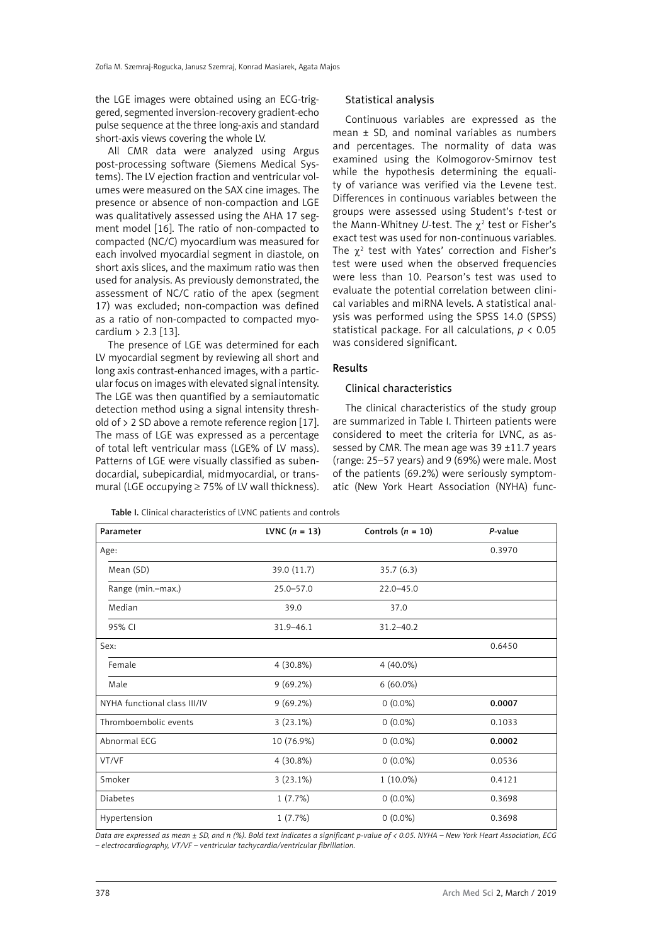the LGE images were obtained using an ECG-triggered, segmented inversion-recovery gradient-echo pulse sequence at the three long-axis and standard short-axis views covering the whole LV.

All CMR data were analyzed using Argus post-processing software (Siemens Medical Systems). The LV ejection fraction and ventricular volumes were measured on the SAX cine images. The presence or absence of non-compaction and LGE was qualitatively assessed using the AHA 17 segment model [16]. The ratio of non-compacted to compacted (NC/C) myocardium was measured for each involved myocardial segment in diastole, on short axis slices, and the maximum ratio was then used for analysis. As previously demonstrated, the assessment of NC/C ratio of the apex (segment 17) was excluded; non-compaction was defined as a ratio of non-compacted to compacted myocardium > 2.3 [13].

The presence of LGE was determined for each LV myocardial segment by reviewing all short and long axis contrast-enhanced images, with a particular focus on images with elevated signal intensity. The LGE was then quantified by a semiautomatic detection method using a signal intensity threshold of > 2 SD above a remote reference region [17]. The mass of LGE was expressed as a percentage of total left ventricular mass (LGE% of LV mass). Patterns of LGE were visually classified as subendocardial, subepicardial, midmyocardial, or transmural (LGE occupying  $\geq$  75% of LV wall thickness).

#### Statistical analysis

Continuous variables are expressed as the mean ± SD, and nominal variables as numbers and percentages. The normality of data was examined using the Kolmogorov-Smirnov test while the hypothesis determining the equality of variance was verified via the Levene test. Differences in continuous variables between the groups were assessed using Student's *t*-test or the Mann-Whitney U-test. The  $\chi^2$  test or Fisher's exact test was used for non-continuous variables. The  $\chi^2$  test with Yates' correction and Fisher's test were used when the observed frequencies were less than 10. Pearson's test was used to evaluate the potential correlation between clinical variables and miRNA levels. A statistical analysis was performed using the SPSS 14.0 (SPSS) statistical package. For all calculations, *p* < 0.05 was considered significant.

#### Results

## Clinical characteristics

The clinical characteristics of the study group are summarized in Table I. Thirteen patients were considered to meet the criteria for LVNC, as assessed by CMR. The mean age was  $39 \pm 11.7$  years (range: 25–57 years) and 9 (69%) were male. Most of the patients (69.2%) were seriously symptomatic (New York Heart Association (NYHA) func-

| Parameter                    | LVNC $(n = 13)$ | Controls $(n = 10)$ | P-value |
|------------------------------|-----------------|---------------------|---------|
| Age:                         |                 |                     | 0.3970  |
| Mean (SD)                    | 39.0 (11.7)     | 35.7(6.3)           |         |
| Range (min.-max.)            | $25.0 - 57.0$   | $22.0 - 45.0$       |         |
| Median                       | 39.0            | 37.0                |         |
| 95% CI                       | $31.9 - 46.1$   | $31.2 - 40.2$       |         |
| Sex:                         |                 |                     | 0.6450  |
| Female                       | 4 (30.8%)       | $4(40.0\%)$         |         |
| Male                         | $9(69.2\%)$     | $6(60.0\%)$         |         |
| NYHA functional class III/IV | $9(69.2\%)$     | $0(0.0\%)$          | 0.0007  |
| Thromboembolic events        | $3(23.1\%)$     | $0(0.0\%)$          | 0.1033  |
| Abnormal ECG                 | 10 (76.9%)      | $0(0.0\%)$          | 0.0002  |
| VT/VF                        | 4 (30.8%)       | $0(0.0\%)$          | 0.0536  |
| Smoker                       | 3(23.1%)        | $1(10.0\%)$         | 0.4121  |
| <b>Diabetes</b>              | 1(7.7%)         | $0(0.0\%)$          | 0.3698  |
| Hypertension                 | 1(7.7%)         | $0(0.0\%)$          | 0.3698  |

Table I. Clinical characteristics of LVNC patients and controls

*Data are expressed as mean ± SD, and n (%). Bold text indicates a significant p-value of < 0.05. NYHA – New York Heart Association, ECG – electrocardiography, VT/VF – ventricular tachycardia/ventricular fibrillation.*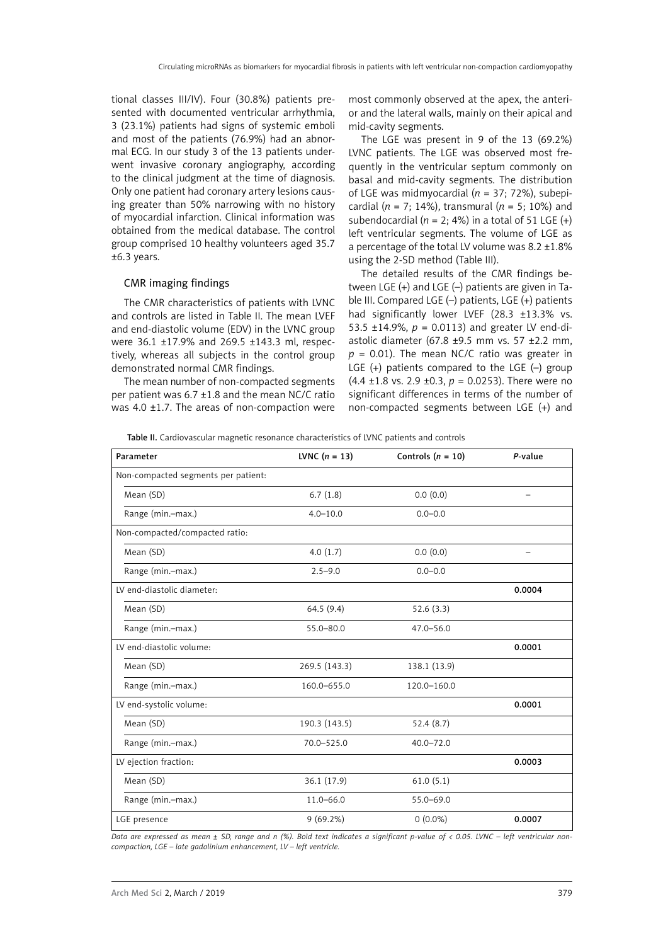tional classes III/IV). Four (30.8%) patients presented with documented ventricular arrhythmia, 3 (23.1%) patients had signs of systemic emboli and most of the patients (76.9%) had an abnormal ECG. In our study 3 of the 13 patients underwent invasive coronary angiography, according to the clinical judgment at the time of diagnosis. Only one patient had coronary artery lesions causing greater than 50% narrowing with no history of myocardial infarction. Clinical information was obtained from the medical database. The control group comprised 10 healthy volunteers aged 35.7 ±6.3 years.

## CMR imaging findings

The CMR characteristics of patients with LVNC and controls are listed in Table II. The mean IVFF and end-diastolic volume (EDV) in the LVNC group were 36.1 ±17.9% and 269.5 ±143.3 ml, respectively, whereas all subjects in the control group demonstrated normal CMR findings.

The mean number of non-compacted segments per patient was 6.7 ±1.8 and the mean NC/C ratio was 4.0  $\pm$ 1.7. The areas of non-compaction were most commonly observed at the apex, the anterior and the lateral walls, mainly on their apical and mid-cavity segments.

The LGE was present in 9 of the 13 (69.2%) LVNC patients. The LGE was observed most frequently in the ventricular septum commonly on basal and mid-cavity segments. The distribution of LGE was midmyocardial (*n* = 37; 72%), subepicardial (*n* = 7; 14%), transmural (*n* = 5; 10%) and subendocardial ( $n = 2$ ; 4%) in a total of 51 LGE (+) left ventricular segments. The volume of LGE as a percentage of the total LV volume was 8.2 ±1.8% using the 2-SD method (Table III).

The detailed results of the CMR findings between LGE (+) and LGE (–) patients are given in Table III. Compared LGE (–) patients, LGE (+) patients had significantly lower LVEF (28.3 ±13.3% vs. 53.5 ±14.9%,  $p = 0.0113$ ) and greater LV end-diastolic diameter (67.8  $\pm$ 9.5 mm vs. 57  $\pm$ 2.2 mm,  $p = 0.01$ ). The mean NC/C ratio was greater in LGE (+) patients compared to the LGE (–) group  $(4.4 \pm 1.8 \text{ vs. } 2.9 \pm 0.3, p = 0.0253)$ . There were no significant differences in terms of the number of non-compacted segments between LGE (+) and

| Table II. Cardiovascular magnetic resonance characteristics of LVNC patients and controls |  |  |  |
|-------------------------------------------------------------------------------------------|--|--|--|
|-------------------------------------------------------------------------------------------|--|--|--|

| Parameter                           | LVNC $(n = 13)$ | Controls $(n = 10)$ | P-value |
|-------------------------------------|-----------------|---------------------|---------|
| Non-compacted segments per patient: |                 |                     |         |
| Mean (SD)                           | 6.7(1.8)        | 0.0(0.0)            |         |
| Range (min.-max.)                   | $4.0 - 10.0$    | $0.0 - 0.0$         |         |
| Non-compacted/compacted ratio:      |                 |                     |         |
| Mean (SD)                           | 4.0(1.7)        | 0.0(0.0)            |         |
| Range (min.-max.)                   | $2.5 - 9.0$     | $0.0 - 0.0$         |         |
| LV end-diastolic diameter:          |                 |                     | 0.0004  |
| Mean (SD)                           | 64.5(9.4)       | 52.6(3.3)           |         |
| Range (min.-max.)                   | $55.0 - 80.0$   | $47.0 - 56.0$       |         |
| LV end-diastolic volume:            |                 |                     | 0.0001  |
| Mean (SD)                           | 269.5 (143.3)   | 138.1 (13.9)        |         |
| Range (min.-max.)                   | 160.0-655.0     | 120.0-160.0         |         |
| LV end-systolic volume:             |                 |                     | 0.0001  |
| Mean (SD)                           | 190.3 (143.5)   | 52.4(8.7)           |         |
| Range (min.-max.)                   | 70.0-525.0      | $40.0 - 72.0$       |         |
| LV ejection fraction:               |                 |                     | 0.0003  |
| Mean (SD)                           | 36.1 (17.9)     | 61.0(5.1)           |         |
| Range (min.-max.)                   | $11.0 - 66.0$   | 55.0-69.0           |         |
| LGE presence                        | 9(69.2%)        | $0(0.0\%)$          | 0.0007  |

*Data are expressed as mean ± SD, range and n (%). Bold text indicates a significant p-value of < 0.05. LVNC – left ventricular noncompaction, LGE – late gadolinium enhancement, LV – left ventricle.*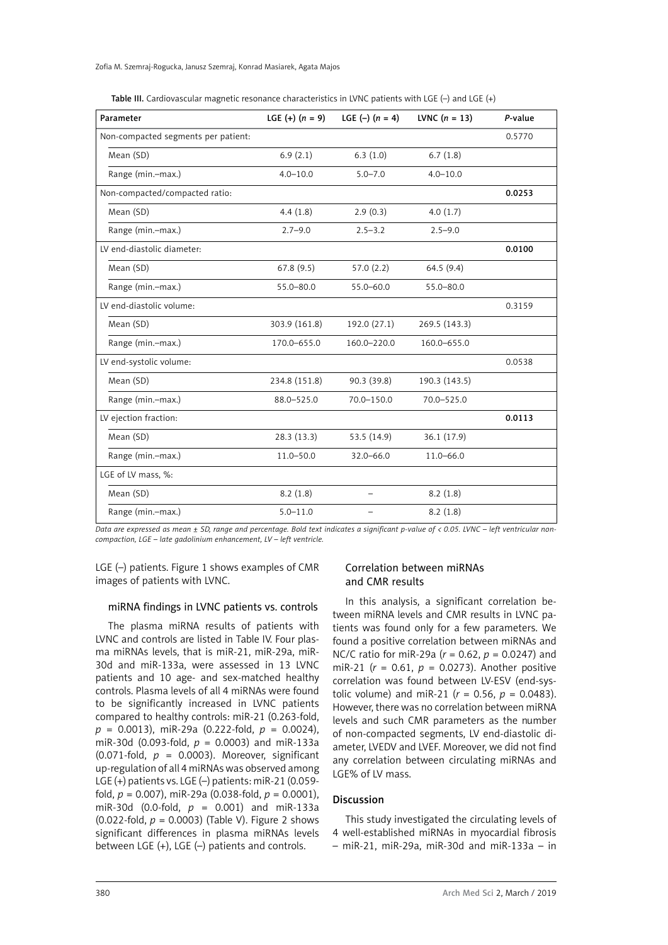| Table III. Cardiovascular magnetic resonance characteristics in LVNC patients with LGE $(-)$ and LGE $(+)$ |  |
|------------------------------------------------------------------------------------------------------------|--|
|------------------------------------------------------------------------------------------------------------|--|

| Parameter                           | LGE $(+)$ $(n = 9)$ | LGE $(-)$ $(n = 4)$ | LVNC $(n = 13)$ | P-value |
|-------------------------------------|---------------------|---------------------|-----------------|---------|
| Non-compacted segments per patient: |                     |                     |                 | 0.5770  |
| Mean (SD)                           | 6.9(2.1)            | 6.3(1.0)            | 6.7(1.8)        |         |
| Range (min.-max.)                   | $4.0 - 10.0$        | $5.0 - 7.0$         | $4.0 - 10.0$    |         |
| Non-compacted/compacted ratio:      |                     |                     |                 | 0.0253  |
| Mean (SD)                           | 4.4(1.8)            | 2.9(0.3)            | 4.0(1.7)        |         |
| Range (min.-max.)                   | $2.7 - 9.0$         | $2.5 - 3.2$         | $2.5 - 9.0$     |         |
| LV end-diastolic diameter:          |                     |                     |                 | 0.0100  |
| Mean (SD)                           | 67.8(9.5)           | 57.0(2.2)           | 64.5(9.4)       |         |
| Range (min.-max.)                   | $55.0 - 80.0$       | $55.0 - 60.0$       | $55.0 - 80.0$   |         |
| LV end-diastolic volume:            |                     |                     |                 | 0.3159  |
| Mean (SD)                           | 303.9 (161.8)       | 192.0 (27.1)        | 269.5 (143.3)   |         |
| Range (min.-max.)                   | 170.0-655.0         | 160.0-220.0         | 160.0-655.0     |         |
| LV end-systolic volume:             |                     |                     |                 | 0.0538  |
| Mean (SD)                           | 234.8 (151.8)       | 90.3(39.8)          | 190.3 (143.5)   |         |
| Range (min.-max.)                   | 88.0-525.0          | 70.0-150.0          | 70.0-525.0      |         |
| LV ejection fraction:               |                     |                     |                 | 0.0113  |
| Mean (SD)                           | 28.3(13.3)          | 53.5 (14.9)         | 36.1 (17.9)     |         |
| Range (min.-max.)                   | $11.0 - 50.0$       | $32.0 - 66.0$       | $11.0 - 66.0$   |         |
| LGE of LV mass, %:                  |                     |                     |                 |         |
| Mean (SD)                           | 8.2(1.8)            |                     | 8.2(1.8)        |         |
| Range (min.-max.)                   | $5.0 - 11.0$        |                     | 8.2(1.8)        |         |

*Data are expressed as mean ± SD, range and percentage. Bold text indicates a significant p-value of < 0.05. LVNC – left ventricular noncompaction, LGE – late gadolinium enhancement, LV – left ventricle.*

LGE (–) patients. Figure 1 shows examples of CMR images of patients with LVNC.

# Correlation between miRNAs and CMR results

#### miRNA findings in LVNC patients vs. controls

The plasma miRNA results of patients with LVNC and controls are listed in Table IV. Four plasma miRNAs levels, that is miR-21, miR-29a, miR-30d and miR-133a, were assessed in 13 LVNC patients and 10 age- and sex-matched healthy controls. Plasma levels of all 4 miRNAs were found to be significantly increased in LVNC patients compared to healthy controls: miR-21 (0.263-fold, *p* = 0.0013), miR-29a (0.222-fold, *p* = 0.0024), miR-30d (0.093-fold, *p* = 0.0003) and miR-133a (0.071-fold,  $p = 0.0003$ ). Moreover, significant up-regulation of all 4 miRNAs was observed among LGE (+) patients vs. LGE (–) patients: miR-21 (0.059 fold, *p* = 0.007), miR-29a (0.038-fold, *p* = 0.0001), miR-30d (0.0-fold, *p* = 0.001) and miR-133a (0.022-fold, *p* = 0.0003) (Table V). Figure 2 shows significant differences in plasma miRNAs levels between LGE (+), LGE (–) patients and controls.

# In this analysis, a significant correlation between miRNA levels and CMR results in LVNC patients was found only for a few parameters. We found a positive correlation between miRNAs and NC/C ratio for miR-29a (*r* = 0.62, *p* = 0.0247) and miR-21 (*r* = 0.61, *p* = 0.0273). Another positive correlation was found between LV-ESV (end-systolic volume) and miR-21 ( $r = 0.56$ ,  $p = 0.0483$ ). However, there was no correlation between miRNA levels and such CMR parameters as the number of non-compacted segments, LV end-diastolic diameter, LVEDV and LVEF. Moreover, we did not find any correlation between circulating miRNAs and LGE% of LV mass.

## Discussion

This study investigated the circulating levels of 4 well-established miRNAs in myocardial fibrosis – miR-21, miR-29a, miR-30d and miR-133a – in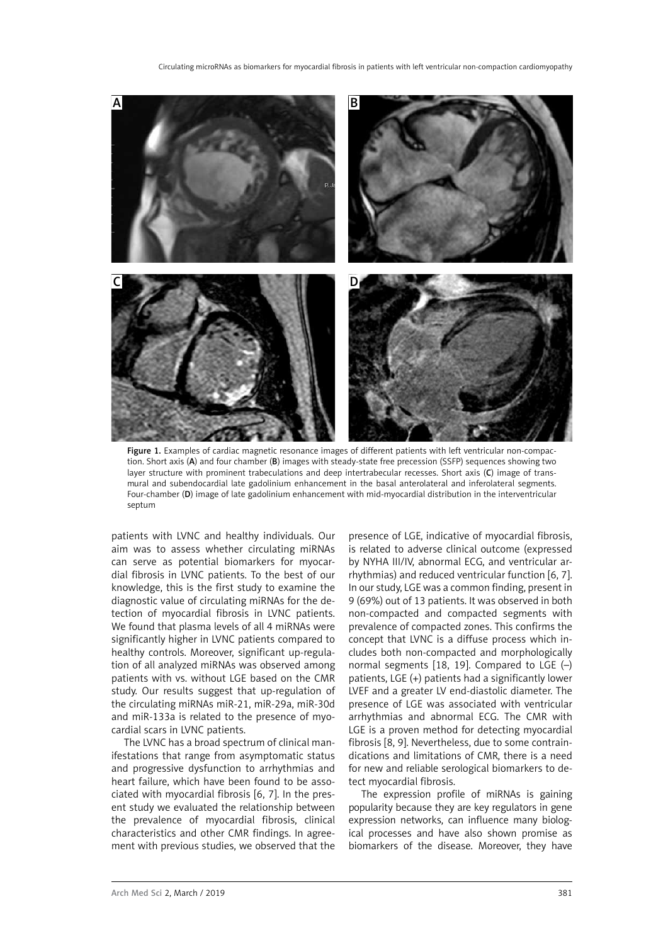

Figure 1. Examples of cardiac magnetic resonance images of different patients with left ventricular non-compaction. Short axis (A) and four chamber (B) images with steady-state free precession (SSFP) sequences showing two layer structure with prominent trabeculations and deep intertrabecular recesses. Short axis (C) image of transmural and subendocardial late gadolinium enhancement in the basal anterolateral and inferolateral segments. Four-chamber (D) image of late gadolinium enhancement with mid-myocardial distribution in the interventricular septum

patients with LVNC and healthy individuals. Our aim was to assess whether circulating miRNAs can serve as potential biomarkers for myocardial fibrosis in LVNC patients. To the best of our knowledge, this is the first study to examine the diagnostic value of circulating miRNAs for the detection of myocardial fibrosis in LVNC patients. We found that plasma levels of all 4 miRNAs were significantly higher in LVNC patients compared to healthy controls. Moreover, significant up-regulation of all analyzed miRNAs was observed among patients with vs. without LGE based on the CMR study. Our results suggest that up-regulation of the circulating miRNAs miR-21, miR-29a, miR-30d and miR-133a is related to the presence of myocardial scars in LVNC patients.

The LVNC has a broad spectrum of clinical manifestations that range from asymptomatic status and progressive dysfunction to arrhythmias and heart failure, which have been found to be associated with myocardial fibrosis [6, 7]. In the present study we evaluated the relationship between the prevalence of myocardial fibrosis, clinical characteristics and other CMR findings. In agreement with previous studies, we observed that the

presence of LGE, indicative of myocardial fibrosis, is related to adverse clinical outcome (expressed by NYHA III/IV, abnormal ECG, and ventricular arrhythmias) and reduced ventricular function [6, 7]. In our study, LGE was a common finding, present in 9 (69%) out of 13 patients. It was observed in both non-compacted and compacted segments with prevalence of compacted zones. This confirms the concept that LVNC is a diffuse process which includes both non-compacted and morphologically normal segments [18, 19]. Compared to LGE (–) patients, LGE (+) patients had a significantly lower LVEF and a greater LV end-diastolic diameter. The presence of LGE was associated with ventricular arrhythmias and abnormal ECG. The CMR with LGE is a proven method for detecting myocardial fibrosis [8, 9]. Nevertheless, due to some contraindications and limitations of CMR, there is a need for new and reliable serological biomarkers to detect myocardial fibrosis.

The expression profile of miRNAs is gaining popularity because they are key regulators in gene expression networks, can influence many biological processes and have also shown promise as biomarkers of the disease. Moreover, they have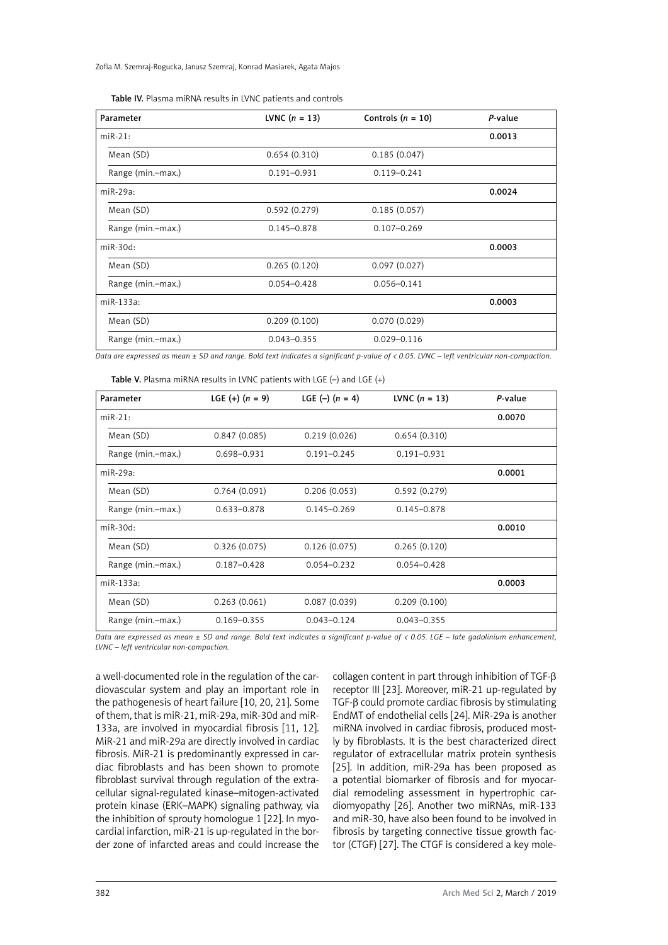Zofia M. Szemraj-Rogucka, Janusz Szemraj, Konrad Masiarek, Agata Majos

| Table IV. Plasma miRNA results in LVNC patients and controls |  |
|--------------------------------------------------------------|--|
|--------------------------------------------------------------|--|

| Parameter         | <b>LVNC</b> $(n = 13)$ | Controls $(n = 10)$ | P-value |
|-------------------|------------------------|---------------------|---------|
| $miR-21:$         |                        |                     | 0.0013  |
| Mean (SD)         | 0.654(0.310)           | 0.185(0.047)        |         |
| Range (min.-max.) | $0.191 - 0.931$        | $0.119 - 0.241$     |         |
| $miR-29a:$        |                        |                     | 0.0024  |
| Mean (SD)         | 0.592(0.279)           | 0.185(0.057)        |         |
| Range (min.-max.) | $0.145 - 0.878$        | $0.107 - 0.269$     |         |
| $miR-30d:$        |                        |                     | 0.0003  |
| Mean (SD)         | 0.265(0.120)           | 0.097(0.027)        |         |
| Range (min.-max.) | $0.054 - 0.428$        | $0.056 - 0.141$     |         |
| $miR-133a:$       |                        |                     | 0.0003  |
| Mean (SD)         | 0.209(0.100)           | 0.070(0.029)        |         |
| Range (min.-max.) | $0.043 - 0.355$        | $0.029 - 0.116$     |         |

*Data are expressed as mean ± SD and range. Bold text indicates a significant p-value of < 0.05. LVNC – left ventricular non-compaction.*

| <b>Table V.</b> Plasma miRNA results in LVNC patients with LGE $(-)$ and LGE $(+)$ |  |  |  |
|------------------------------------------------------------------------------------|--|--|--|
|------------------------------------------------------------------------------------|--|--|--|

| Parameter         | LGE $(+)$ $(n = 9)$ | LGE $(-)$ $(n = 4)$ | <b>LVNC</b> $(n = 13)$ | P-value |
|-------------------|---------------------|---------------------|------------------------|---------|
| $miR-21:$         |                     |                     |                        | 0.0070  |
| Mean (SD)         | 0.847(0.085)        | 0.219(0.026)        | 0.654(0.310)           |         |
| Range (min.-max.) | 0.698-0.931         | $0.191 - 0.245$     | $0.191 - 0.931$        |         |
| $miR-29a:$        |                     |                     |                        | 0.0001  |
| Mean (SD)         | 0.764(0.091)        | 0.206(0.053)        | 0.592(0.279)           |         |
| Range (min.-max.) | $0.633 - 0.878$     | $0.145 - 0.269$     | $0.145 - 0.878$        |         |
| $miR-30d:$        |                     |                     |                        | 0.0010  |
| Mean (SD)         | 0.326(0.075)        | 0.126(0.075)        | 0.265(0.120)           |         |
| Range (min.-max.) | $0.187 - 0.428$     | $0.054 - 0.232$     | $0.054 - 0.428$        |         |
| miR-133a:         |                     |                     |                        | 0.0003  |
| Mean (SD)         | 0.263(0.061)        | 0.087(0.039)        | 0.209(0.100)           |         |
| Range (min.-max.) | $0.169 - 0.355$     | $0.043 - 0.124$     | $0.043 - 0.355$        |         |

*Data are expressed as mean ± SD and range. Bold text indicates a significant p-value of < 0.05. LGE – late gadolinium enhancement, LVNC – left ventricular non-compaction.*

a well-documented role in the regulation of the cardiovascular system and play an important role in the pathogenesis of heart failure [10, 20, 21]. Some of them, that is miR-21, miR-29a, miR-30d and miR-133a, are involved in myocardial fibrosis [11, 12]. MiR-21 and miR-29a are directly involved in cardiac fibrosis. MiR-21 is predominantly expressed in cardiac fibroblasts and has been shown to promote fibroblast survival through regulation of the extracellular signal-regulated kinase–mitogen-activated protein kinase (ERK–MAPK) signaling pathway, via the inhibition of sprouty homologue 1 [22]. In myocardial infarction, miR-21 is up-regulated in the border zone of infarcted areas and could increase the collagen content in part through inhibition of TGF-β receptor III [23]. Moreover, miR-21 up-regulated by TGF-β could promote cardiac fibrosis by stimulating EndMT of endothelial cells [24]. MiR-29a is another miRNA involved in cardiac fibrosis, produced mostly by fibroblasts. It is the best characterized direct regulator of extracellular matrix protein synthesis [25]. In addition, miR-29a has been proposed as a potential biomarker of fibrosis and for myocardial remodeling assessment in hypertrophic cardiomyopathy [26]. Another two miRNAs, miR-133 and miR-30, have also been found to be involved in fibrosis by targeting connective tissue growth factor (CTGF) [27]. The CTGF is considered a key mole-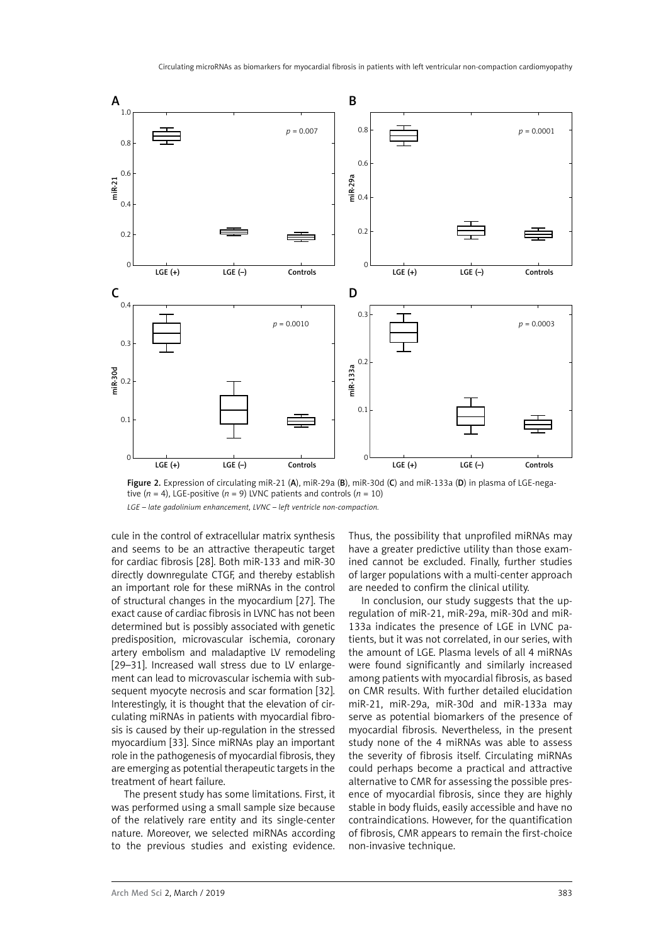

Figure 2. Expression of circulating miR-21 (A), miR-29a (B), miR-30d (C) and miR-133a (D) in plasma of LGE-negative  $(n = 4)$ , LGE-positive  $(n = 9)$  LVNC patients and controls  $(n = 10)$ 

*LGE – late gadolinium enhancement, LVNC – left ventricle non-compaction.*

cule in the control of extracellular matrix synthesis and seems to be an attractive therapeutic target for cardiac fibrosis [28]. Both miR-133 and miR-30 directly downregulate CTGF, and thereby establish an important role for these miRNAs in the control of structural changes in the myocardium [27]. The exact cause of cardiac fibrosis in LVNC has not been determined but is possibly associated with genetic predisposition, microvascular ischemia, coronary artery embolism and maladaptive LV remodeling [29–31]. Increased wall stress due to LV enlargement can lead to microvascular ischemia with subsequent myocyte necrosis and scar formation [32]. Interestingly, it is thought that the elevation of circulating miRNAs in patients with myocardial fibrosis is caused by their up-regulation in the stressed myocardium [33]. Since miRNAs play an important role in the pathogenesis of myocardial fibrosis, they are emerging as potential therapeutic targets in the treatment of heart failure.

The present study has some limitations. First, it was performed using a small sample size because of the relatively rare entity and its single-center nature. Moreover, we selected miRNAs according to the previous studies and existing evidence.

Thus, the possibility that unprofiled miRNAs may have a greater predictive utility than those examined cannot be excluded. Finally, further studies of larger populations with a multi-center approach are needed to confirm the clinical utility.

In conclusion, our study suggests that the upregulation of miR-21, miR-29a, miR-30d and miR-133a indicates the presence of LGE in LVNC patients, but it was not correlated, in our series, with the amount of LGE. Plasma levels of all 4 miRNAs were found significantly and similarly increased among patients with myocardial fibrosis, as based on CMR results. With further detailed elucidation miR-21, miR-29a, miR-30d and miR-133a may serve as potential biomarkers of the presence of myocardial fibrosis. Nevertheless, in the present study none of the 4 miRNAs was able to assess the severity of fibrosis itself. Circulating miRNAs could perhaps become a practical and attractive alternative to CMR for assessing the possible presence of myocardial fibrosis, since they are highly stable in body fluids, easily accessible and have no contraindications. However, for the quantification of fibrosis, CMR appears to remain the first-choice non-invasive technique.